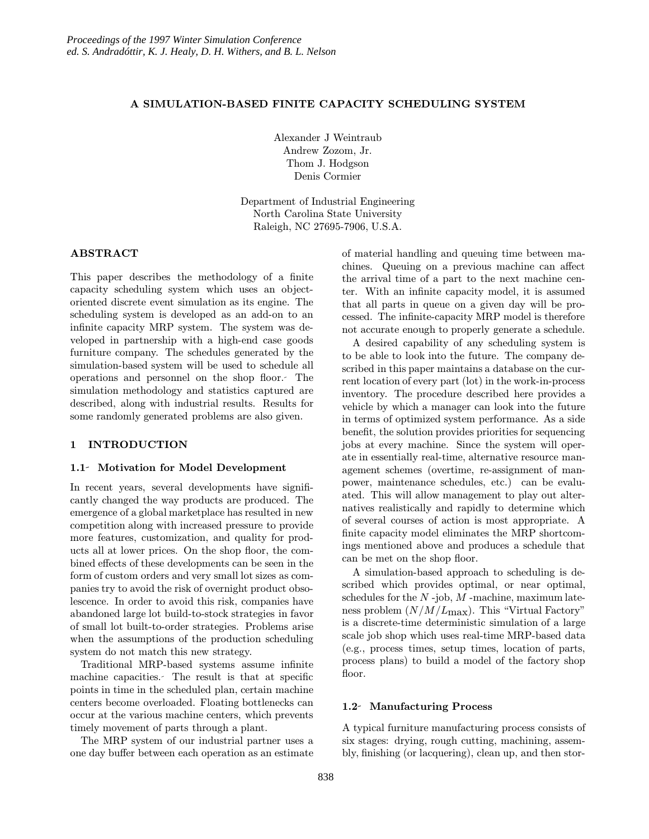# A SIMULATION-BASED FINITE CAPACITY SCHEDULING SYSTEM

Alexander J Weintraub Andrew Zozom, Jr. Thom J. Hodgson Denis Cormier

Department of Industrial Engineering North Carolina State University Raleigh, NC 27695-7906, U.S.A.

## ABSTRACT

This paper describes the methodology of a finite capacity scheduling system which uses an objectoriented discrete event simulation as its engine. The scheduling system is developed as an add-on to an infinite capacity MRP system. The system was developed in partnership with a high-end case goods furniture company. The schedules generated by the simulation-based system will be used to schedule all operations and personnel on the shop floor. The simulation methodology and statistics captured are described, along with industrial results. Results for some randomly generated problems are also given.

## 1 INTRODUCTION

### 1.1 Motivation for Model Development

In recent years, several developments have significantly changed the way products are produced. The emergence of a global marketplace has resulted in new competition along with increased pressure to provide more features, customization, and quality for products all at lower prices. On the shop floor, the combined effects of these developments can be seen in the form of custom orders and very small lot sizes as companies try to avoid the risk of overnight product obsolescence. In order to avoid this risk, companies have abandoned large lot build-to-stock strategies in favor of small lot built-to-order strategies. Problems arise when the assumptions of the production scheduling system do not match this new strategy.

Traditional MRP-based systems assume infinite machine capacities. The result is that at specific points in time in the scheduled plan, certain machine centers become overloaded. Floating bottlenecks can occur at the various machine centers, which prevents timely movement of parts through a plant.

The MRP system of our industrial partner uses a one day buffer between each operation as an estimate of material handling and queuing time between machines. Queuing on a previous machine can affect the arrival time of a part to the next machine center. With an infinite capacity model, it is assumed that all parts in queue on a given day will be processed. The infinite-capacity MRP model is therefore not accurate enough to properly generate a schedule.

A desired capability of any scheduling system is to be able to look into the future. The company described in this paper maintains a database on the current location of every part (lot) in the work-in-process inventory. The procedure described here provides a vehicle by which a manager can look into the future in terms of optimized system performance. As a side benefit, the solution provides priorities for sequencing jobs at every machine. Since the system will operate in essentially real-time, alternative resource management schemes (overtime, re-assignment of manpower, maintenance schedules, etc.) can be evaluated. This will allow management to play out alternatives realistically and rapidly to determine which of several courses of action is most appropriate. A finite capacity model eliminates the MRP shortcomings mentioned above and produces a schedule that can be met on the shop floor.

A simulation-based approach to scheduling is described which provides optimal, or near optimal, schedules for the  $N$ -job,  $M$ -machine, maximum lateness problem  $(N/M/L_{\text{max}})$ . This "Virtual Factory" is a discrete-time deterministic simulation of a large scale job shop which uses real-time MRP-based data (e.g., process times, setup times, location of parts, process plans) to build a model of the factory shop floor.

#### 1.2 Manufacturing Process

A typical furniture manufacturing process consists of six stages: drying, rough cutting, machining, assembly, finishing (or lacquering), clean up, and then stor-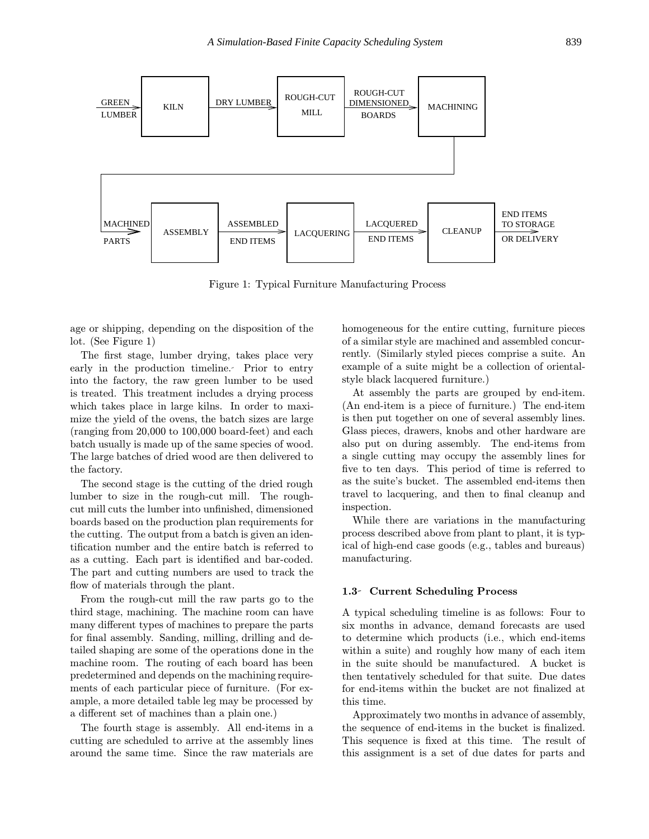

Figure 1: Typical Furniture Manufacturing Process

age or shipping, depending on the disposition of the lot. (See Figure 1)

The first stage, lumber drying, takes place very early in the production timeline. Prior to entry into the factory, the raw green lumber to be used is treated. This treatment includes a drying process which takes place in large kilns. In order to maximize the yield of the ovens, the batch sizes are large (ranging from 20,000 to 100,000 board-feet) and each batch usually is made up of the same species of wood. The large batches of dried wood are then delivered to the factory.

The second stage is the cutting of the dried rough lumber to size in the rough-cut mill. The roughcut mill cuts the lumber into unfinished, dimensioned boards based on the production plan requirements for the cutting. The output from a batch is given an identification number and the entire batch is referred to as a cutting. Each part is identified and bar-coded. The part and cutting numbers are used to track the flow of materials through the plant.

From the rough-cut mill the raw parts go to the third stage, machining. The machine room can have many different types of machines to prepare the parts for final assembly. Sanding, milling, drilling and detailed shaping are some of the operations done in the machine room. The routing of each board has been predetermined and depends on the machining requirements of each particular piece of furniture. (For example, a more detailed table leg may be processed by a different set of machines than a plain one.)

The fourth stage is assembly. All end-items in a cutting are scheduled to arrive at the assembly lines around the same time. Since the raw materials are homogeneous for the entire cutting, furniture pieces of a similar style are machined and assembled concurrently. (Similarly styled pieces comprise a suite. An example of a suite might be a collection of orientalstyle black lacquered furniture.)

At assembly the parts are grouped by end-item. (An end-item is a piece of furniture.) The end-item is then put together on one of several assembly lines. Glass pieces, drawers, knobs and other hardware are also put on during assembly. The end-items from a single cutting may occupy the assembly lines for five to ten days. This period of time is referred to as the suite's bucket. The assembled end-items then travel to lacquering, and then to final cleanup and inspection.

While there are variations in the manufacturing process described above from plant to plant, it is typical of high-end case goods (e.g., tables and bureaus) manufacturing.

#### 1.3 Current Scheduling Process

A typical scheduling timeline is as follows: Four to six months in advance, demand forecasts are used to determine which products (i.e., which end-items within a suite) and roughly how many of each item in the suite should be manufactured. A bucket is then tentatively scheduled for that suite. Due dates for end-items within the bucket are not finalized at this time.

Approximately two months in advance of assembly, the sequence of end-items in the bucket is finalized. This sequence is fixed at this time. The result of this assignment is a set of due dates for parts and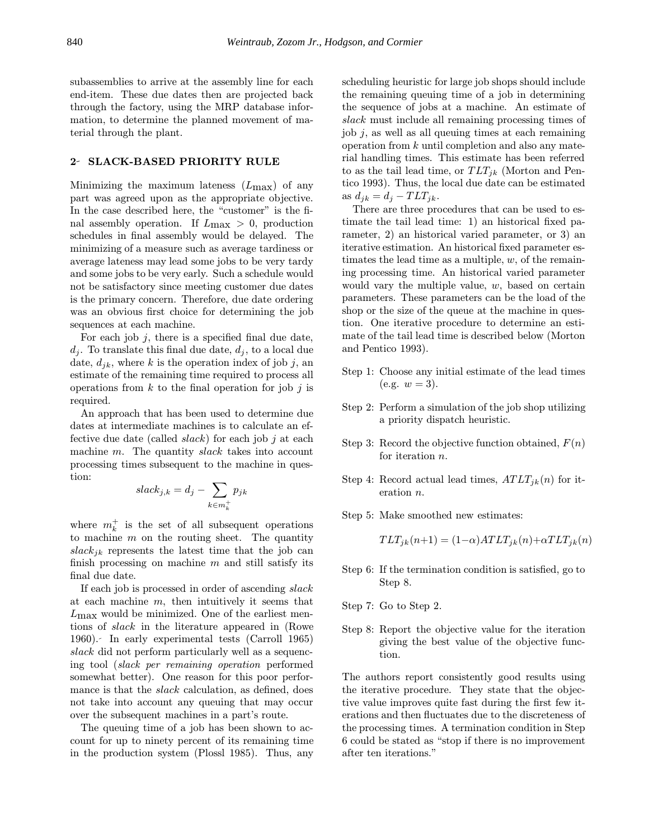subassemblies to arrive at the assembly line for each end-item. These due dates then are projected back through the factory, using the MRP database information, to determine the planned movement of material through the plant.

### 2- SLACK-BASED PRIORITY RULE

Minimizing the maximum lateness  $(L_{\text{max}})$  of any part was agreed upon as the appropriate objective. In the case described here, the "customer" is the final assembly operation. If  $L_{\text{max}} > 0$ , production schedules in final assembly would be delayed. The minimizing of a measure such as average tardiness or average lateness may lead some jobs to be very tardy and some jobs to be very early. Such a schedule would not be satisfactory since meeting customer due dates is the primary concern. Therefore, due date ordering was an obvious first choice for determining the job sequences at each machine.

For each job  $j$ , there is a specified final due date,  $d_i$ . To translate this final due date,  $d_i$ , to a local due date,  $d_{ik}$ , where k is the operation index of job j, an estimate of the remaining time required to process all operations from  $k$  to the final operation for job  $j$  is required.

An approach that has been used to determine due dates at intermediate machines is to calculate an effective due date (called *slack*) for each job  $j$  at each machine m. The quantity slack takes into account processing times subsequent to the machine in question:

$$
slack_{j,k} = d_j - \sum_{k \in m_k^+} p_{jk}
$$

where  $m_k^+$  is the set of all subsequent operations to machine  $m$  on the routing sheet. The quantity  $slack_{ik}$  represents the latest time that the job can finish processing on machine  $m$  and still satisfy its final due date.

If each job is processed in order of ascending slack at each machine  $m$ , then intuitively it seems that  $L_{\text{max}}$  would be minimized. One of the earliest mentions of slack in the literature appeared in (Rowe 1960). In early experimental tests (Carroll 1965) slack did not perform particularly well as a sequencing tool (slack per remaining operation performed somewhat better). One reason for this poor performance is that the *slack* calculation, as defined, does not take into account any queuing that may occur over the subsequent machines in a part's route.

The queuing time of a job has been shown to account for up to ninety percent of its remaining time in the production system (Plossl 1985). Thus, any scheduling heuristic for large job shops should include the remaining queuing time of a job in determining the sequence of jobs at a machine. An estimate of slack must include all remaining processing times of job  $j$ , as well as all queuing times at each remaining operation from  $k$  until completion and also any material handling times. This estimate has been referred to as the tail lead time, or  $TLT_{ik}$  (Morton and Pentico 1993). Thus, the local due date can be estimated as  $d_{jk} = d_j - TLT_{jk}$ .

There are three procedures that can be used to estimate the tail lead time: 1) an historical fixed parameter, 2) an historical varied parameter, or 3) an iterative estimation. An historical fixed parameter estimates the lead time as a multiple,  $w$ , of the remaining processing time. An historical varied parameter would vary the multiple value,  $w$ , based on certain parameters. These parameters can be the load of the shop or the size of the queue at the machine in question. One iterative procedure to determine an estimate of the tail lead time is described below (Morton and Pentico 1993).

- Step 1: Choose any initial estimate of the lead times (e.g.  $w = 3$ ).
- Step 2: Perform a simulation of the job shop utilizing a priority dispatch heuristic.
- Step 3: Record the objective function obtained,  $F(n)$ for iteration *n*.
- Step 4: Record actual lead times,  $ATLT_{jk}(n)$  for iteration n.

Step 5: Make smoothed new estimates:

$$
TLT_{jk}(n+1) = (1-\alpha)ATLT_{jk}(n) + \alpha TLT_{jk}(n)
$$

- Step 6: If the termination condition is satisfied, go to Step 8.
- Step 7: Go to Step 2.
- Step 8: Report the objective value for the iteration giving the best value of the objective function.

The authors report consistently good results using the iterative procedure. They state that the objective value improves quite fast during the first few iterations and then fluctuates due to the discreteness of the processing times. A termination condition in Step 6 could be stated as "stop if there is no improvement after ten iterations."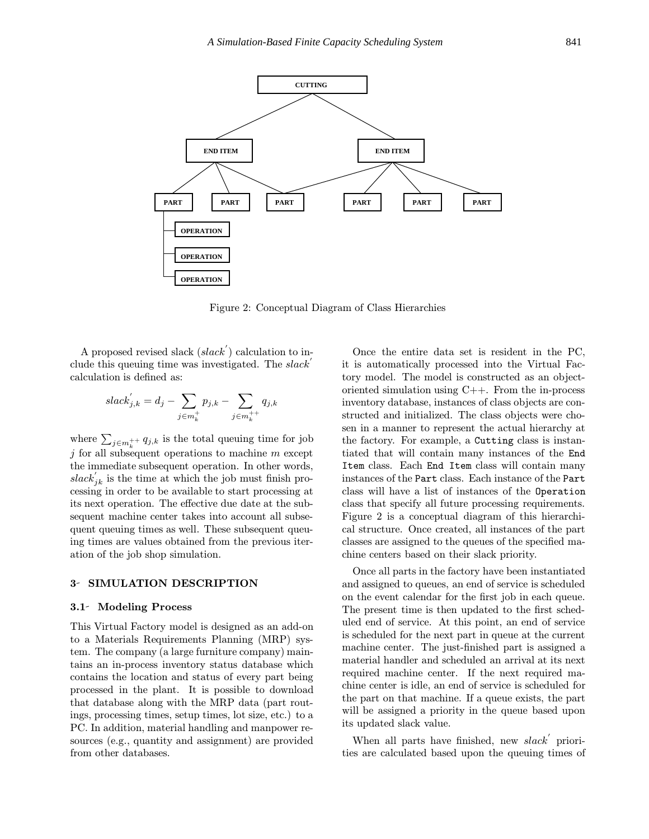

Figure 2: Conceptual Diagram of Class Hierarchies

A proposed revised slack  $(s\nmid a c k')$  calculation to include this queuing time was investigated. The  $slack$ calculation is defined as:

$$
slack'_{j,k} = d_j - \sum_{j \in m_k^+} p_{j,k} - \sum_{j \in m_k^+ +} q_{j,k}
$$

where  $\sum_{j \in m_k^{++}} q_{j,k}$  is the total queuing time for job j for all subsequent operations to machine  $m$  except the immediate subsequent operation. In other words,  $slack'_{jk}$  is the time at which the job must finish processing in order to be available to start processing at its next operation. The effective due date at the subsequent machine center takes into account all subsequent queuing times as well. These subsequent queuing times are values obtained from the previous iteration of the job shop simulation.

### 3- SIMULATION DESCRIPTION

#### 3.1 Modeling Process

This Virtual Factory model is designed as an add-on to a Materials Requirements Planning (MRP) system. The company (a large furniture company) maintains an in-process inventory status database which contains the location and status of every part being processed in the plant. It is possible to download that database along with the MRP data (part routings, processing times, setup times, lot size, etc.) to a PC. In addition, material handling and manpower resources (e.g., quantity and assignment) are provided from other databases.

Once the entire data set is resident in the PC, it is automatically processed into the Virtual Factory model. The model is constructed as an objectoriented simulation using C++. From the in-process inventory database, instances of class objects are constructed and initialized. The class objects were chosen in a manner to represent the actual hierarchy at the factory. For example, a Cutting class is instantiated that will contain many instances of the End Item class. Each End Item class will contain many instances of the Part class. Each instance of the Part class will have a list of instances of the Operation class that specify all future processing requirements. Figure 2 is a conceptual diagram of this hierarchical structure. Once created, all instances of the part classes are assigned to the queues of the specified machine centers based on their slack priority.

Once all parts in the factory have been instantiated and assigned to queues, an end of service is scheduled on the event calendar for the first job in each queue. The present time is then updated to the first scheduled end of service. At this point, an end of service is scheduled for the next part in queue at the current machine center. The just-finished part is assigned a material handler and scheduled an arrival at its next required machine center. If the next required machine center is idle, an end of service is scheduled for the part on that machine. If a queue exists, the part will be assigned a priority in the queue based upon its updated slack value.

When all parts have finished, new  $slack'$  priorities are calculated based upon the queuing times of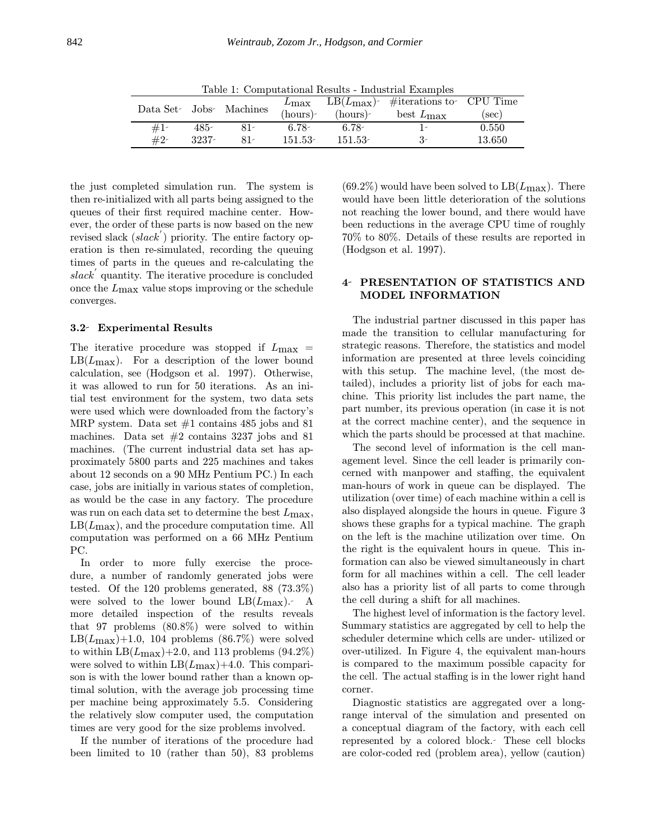Table 1: Computational Results - Industrial Examples

|                 |                     | Data Set Jobs Machines | $L_{\rm max}$<br>(hours) | (hours)            | LB $(L_{\text{max}})$ #iterations to CPU Time<br>best $L_{\rm max}$ | (sec)           |
|-----------------|---------------------|------------------------|--------------------------|--------------------|---------------------------------------------------------------------|-----------------|
| $#1 -$<br>$#2-$ | $485 -$<br>$3237 -$ |                        | 6.78-<br>$151.53-$       | $6.78-$<br>151.53- |                                                                     | 0.550<br>13.650 |

the just completed simulation run. The system is then re-initialized with all parts being assigned to the queues of their first required machine center. However, the order of these parts is now based on the new revised slack  $(slack')$  priority. The entire factory operation is then re-simulated, recording the queuing times of parts in the queues and re-calculating the  $slack'$  quantity. The iterative procedure is concluded once the Lmax value stops improving or the schedule converges.

#### 3.2 Experimental Results

The iterative procedure was stopped if  $L_{\text{max}}$  =  $LB(L_{\text{max}})$ . For a description of the lower bound calculation, see (Hodgson et al. 1997). Otherwise, it was allowed to run for 50 iterations. As an initial test environment for the system, two data sets were used which were downloaded from the factory's MRP system. Data set  $#1$  contains 485 jobs and 81 machines. Data set  $#2$  contains 3237 jobs and 81 machines. (The current industrial data set has approximately 5800 parts and 225 machines and takes about 12 seconds on a 90 MHz Pentium PC.) In each case, jobs are initially in various states of completion, as would be the case in any factory. The procedure was run on each data set to determine the best  $L_{\text{max}}$ ,  $LB(L_{\text{max}})$ , and the procedure computation time. All computation was performed on a 66 MHz Pentium PC.

In order to more fully exercise the procedure, a number of randomly generated jobs were tested. Of the 120 problems generated, 88 (73.3%) were solved to the lower bound  $LB(L_{\text{max}})$ . A more detailed inspection of the results reveals that 97 problems (80.8%) were solved to within  $LB(L_{\text{max}})+1.0$ , 104 problems (86.7%) were solved to within  $LB(L_{\text{max}})+2.0$ , and 113 problems (94.2%) were solved to within  $LB(L_{\text{max}})+4.0$ . This comparison is with the lower bound rather than a known optimal solution, with the average job processing time per machine being approximately 5.5. Considering the relatively slow computer used, the computation times are very good for the size problems involved.

If the number of iterations of the procedure had been limited to 10 (rather than 50), 83 problems  $(69.2\%)$  would have been solved to  $LB(L_{\text{max}})$ . There would have been little deterioration of the solutions not reaching the lower bound, and there would have been reductions in the average CPU time of roughly 70% to 80%. Details of these results are reported in (Hodgson et al. 1997).

## 4 PRESENTATION OF STATISTICS AND MODEL INFORMATION

The industrial partner discussed in this paper has made the transition to cellular manufacturing for strategic reasons. Therefore, the statistics and model information are presented at three levels coinciding with this setup. The machine level, (the most detailed), includes a priority list of jobs for each machine. This priority list includes the part name, the part number, its previous operation (in case it is not at the correct machine center), and the sequence in which the parts should be processed at that machine.

The second level of information is the cell management level. Since the cell leader is primarily concerned with manpower and staffing, the equivalent man-hours of work in queue can be displayed. The utilization (over time) of each machine within a cell is also displayed alongside the hours in queue. Figure 3 shows these graphs for a typical machine. The graph on the left is the machine utilization over time. On the right is the equivalent hours in queue. This information can also be viewed simultaneously in chart form for all machines within a cell. The cell leader also has a priority list of all parts to come through the cell during a shift for all machines.

The highest level of information is the factory level. Summary statistics are aggregated by cell to help the scheduler determine which cells are under- utilized or over-utilized. In Figure 4, the equivalent man-hours is compared to the maximum possible capacity for the cell. The actual staffing is in the lower right hand corner.

Diagnostic statistics are aggregated over a longrange interval of the simulation and presented on a conceptual diagram of the factory, with each cell represented by a colored block. These cell blocks are color-coded red (problem area), yellow (caution)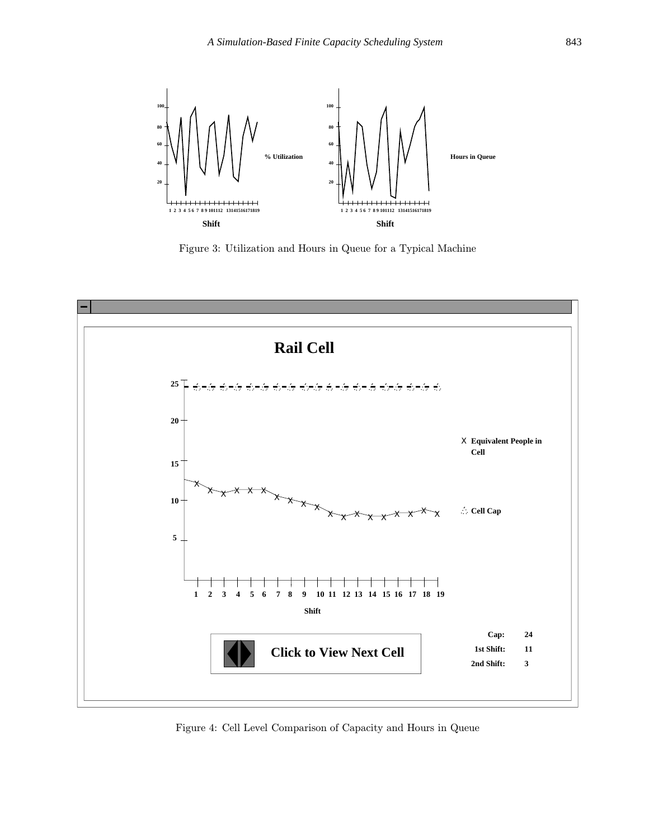

Figure 3: Utilization and Hours in Queue for a Typical Machine



Figure 4: Cell Level Comparison of Capacity and Hours in Queue